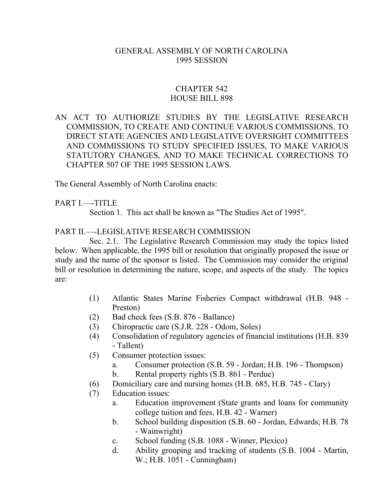#### GENERAL ASSEMBLY OF NORTH CAROLINA 1995 SESSION

#### CHAPTER 542 HOUSE BILL 898

### AN ACT TO AUTHORIZE STUDIES BY THE LEGISLATIVE RESEARCH COMMISSION, TO CREATE AND CONTINUE VARIOUS COMMISSIONS, TO DIRECT STATE AGENCIES AND LEGISLATIVE OVERSIGHT COMMITTEES AND COMMISSIONS TO STUDY SPECIFIED ISSUES, TO MAKE VARIOUS STATUTORY CHANGES, AND TO MAKE TECHNICAL CORRECTIONS TO CHAPTER 507 OF THE 1995 SESSION LAWS.

The General Assembly of North Carolina enacts:

PART I.---TITLE

Section 1. This act shall be known as "The Studies Act of 1995".

PART II.––-LEGISLATIVE RESEARCH COMMISSION

Sec. 2.1. The Legislative Research Commission may study the topics listed below. When applicable, the 1995 bill or resolution that originally proposed the issue or study and the name of the sponsor is listed. The Commission may consider the original bill or resolution in determining the nature, scope, and aspects of the study. The topics are:

- (1) Atlantic States Marine Fisheries Compact withdrawal (H.B. 948 Preston)
- (2) Bad check fees (S.B. 876 Ballance)
- (3) Chiropractic care (S.J.R. 228 Odom, Soles)
- (4) Consolidation of regulatory agencies of financial institutions (H.B. 839 - Tallent)
- (5) Consumer protection issues:
	- a. Consumer protection (S.B. 59 Jordan; H.B. 196 Thompson)
	- b. Rental property rights (S.B. 861 Perdue)
- (6) Domiciliary care and nursing homes (H.B. 685, H.B. 745 Clary)
- (7) Education issues:
	- a. Education improvement (State grants and loans for community college tuition and fees, H.B. 42 - Warner)
	- b. School building disposition (S.B. 60 Jordan, Edwards; H.B. 78 - Wainwright)
	- c. School funding (S.B. 1088 Winner, Plexico)
	- d. Ability grouping and tracking of students (S.B. 1004 Martin, W.; H.B. 1051 - Cunningham)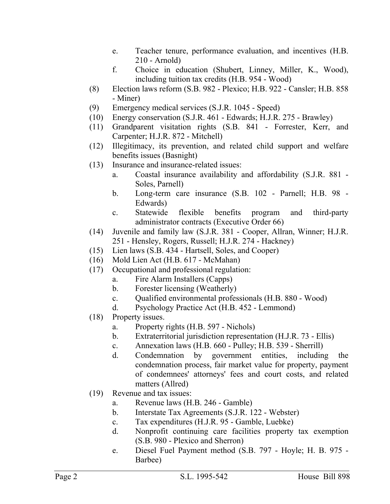- e. Teacher tenure, performance evaluation, and incentives (H.B. 210 - Arnold)
- f. Choice in education (Shubert, Linney, Miller, K., Wood), including tuition tax credits (H.B. 954 - Wood)
- (8) Election laws reform (S.B. 982 Plexico; H.B. 922 Cansler; H.B. 858 - Miner)
- (9) Emergency medical services (S.J.R. 1045 Speed)
- (10) Energy conservation (S.J.R. 461 Edwards; H.J.R. 275 Brawley)
- (11) Grandparent visitation rights (S.B. 841 Forrester, Kerr, and Carpenter; H.J.R. 872 - Mitchell)
- (12) Illegitimacy, its prevention, and related child support and welfare benefits issues (Basnight)
- (13) Insurance and insurance-related issues:
	- a. Coastal insurance availability and affordability (S.J.R. 881 Soles, Parnell)
	- b. Long-term care insurance (S.B. 102 Parnell; H.B. 98 Edwards)
	- c. Statewide flexible benefits program and third-party administrator contracts (Executive Order 66)
- (14) Juvenile and family law (S.J.R. 381 Cooper, Allran, Winner; H.J.R. 251 - Hensley, Rogers, Russell; H.J.R. 274 - Hackney)
- (15) Lien laws (S.B. 434 Hartsell, Soles, and Cooper)
- (16) Mold Lien Act (H.B. 617 McMahan)
- (17) Occupational and professional regulation:
	- a. Fire Alarm Installers (Capps)
	- b. Forester licensing (Weatherly)
	- c. Qualified environmental professionals (H.B. 880 Wood)
	- d. Psychology Practice Act (H.B. 452 Lemmond)
- (18) Property issues.
	- a. Property rights (H.B. 597 Nichols)
	- b. Extraterritorial jurisdiction representation (H.J.R. 73 Ellis)
	- c. Annexation laws (H.B. 660 Pulley; H.B. 539 Sherrill)
	- d. Condemnation by government entities, including the condemnation process, fair market value for property, payment of condemnees' attorneys' fees and court costs, and related matters (Allred)
- (19) Revenue and tax issues:
	- a. Revenue laws (H.B. 246 Gamble)
	- b. Interstate Tax Agreements (S.J.R. 122 Webster)
	- c. Tax expenditures (H.J.R. 95 Gamble, Luebke)
	- d. Nonprofit continuing care facilities property tax exemption (S.B. 980 - Plexico and Sherron)
	- e. Diesel Fuel Payment method (S.B. 797 Hoyle; H. B. 975 Barbee)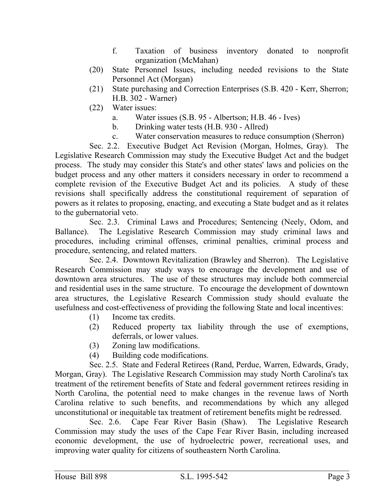- f. Taxation of business inventory donated to nonprofit organization (McMahan)
- (20) State Personnel Issues, including needed revisions to the State Personnel Act (Morgan)
- (21) State purchasing and Correction Enterprises (S.B. 420 Kerr, Sherron; H.B. 302 - Warner)
- (22) Water issues:
	- a. Water issues (S.B. 95 Albertson; H.B. 46 Ives)
	- b. Drinking water tests (H.B. 930 Allred)
	- c. Water conservation measures to reduce consumption (Sherron)

Sec. 2.2. Executive Budget Act Revision (Morgan, Holmes, Gray). The Legislative Research Commission may study the Executive Budget Act and the budget process. The study may consider this State's and other states' laws and policies on the budget process and any other matters it considers necessary in order to recommend a complete revision of the Executive Budget Act and its policies. A study of these revisions shall specifically address the constitutional requirement of separation of powers as it relates to proposing, enacting, and executing a State budget and as it relates to the gubernatorial veto.

Sec. 2.3. Criminal Laws and Procedures; Sentencing (Neely, Odom, and Ballance). The Legislative Research Commission may study criminal laws and procedures, including criminal offenses, criminal penalties, criminal process and procedure, sentencing, and related matters.

Sec. 2.4. Downtown Revitalization (Brawley and Sherron). The Legislative Research Commission may study ways to encourage the development and use of downtown area structures. The use of these structures may include both commercial and residential uses in the same structure. To encourage the development of downtown area structures, the Legislative Research Commission study should evaluate the usefulness and cost-effectiveness of providing the following State and local incentives:

- (1) Income tax credits.
- (2) Reduced property tax liability through the use of exemptions, deferrals, or lower values.
- (3) Zoning law modifications.
- (4) Building code modifications.

Sec. 2.5. State and Federal Retirees (Rand, Perdue, Warren, Edwards, Grady, Morgan, Gray). The Legislative Research Commission may study North Carolina's tax treatment of the retirement benefits of State and federal government retirees residing in North Carolina, the potential need to make changes in the revenue laws of North Carolina relative to such benefits, and recommendations by which any alleged unconstitutional or inequitable tax treatment of retirement benefits might be redressed.

Sec. 2.6. Cape Fear River Basin (Shaw). The Legislative Research Commission may study the uses of the Cape Fear River Basin, including increased economic development, the use of hydroelectric power, recreational uses, and improving water quality for citizens of southeastern North Carolina.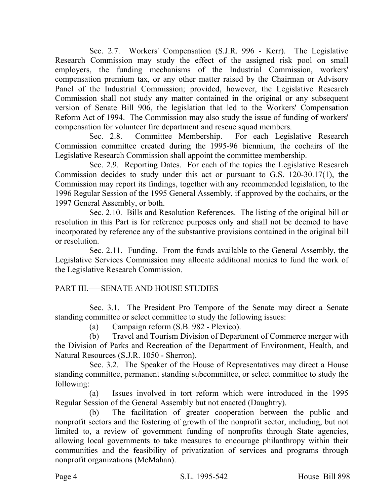Sec. 2.7. Workers' Compensation (S.J.R. 996 - Kerr). The Legislative Research Commission may study the effect of the assigned risk pool on small employers, the funding mechanisms of the Industrial Commission, workers' compensation premium tax, or any other matter raised by the Chairman or Advisory Panel of the Industrial Commission; provided, however, the Legislative Research Commission shall not study any matter contained in the original or any subsequent version of Senate Bill 906, the legislation that led to the Workers' Compensation Reform Act of 1994. The Commission may also study the issue of funding of workers' compensation for volunteer fire department and rescue squad members.

Sec. 2.8. Committee Membership. For each Legislative Research Commission committee created during the 1995-96 biennium, the cochairs of the Legislative Research Commission shall appoint the committee membership.

Sec. 2.9. Reporting Dates. For each of the topics the Legislative Research Commission decides to study under this act or pursuant to G.S. 120-30.17(1), the Commission may report its findings, together with any recommended legislation, to the 1996 Regular Session of the 1995 General Assembly, if approved by the cochairs, or the 1997 General Assembly, or both.

Sec. 2.10. Bills and Resolution References. The listing of the original bill or resolution in this Part is for reference purposes only and shall not be deemed to have incorporated by reference any of the substantive provisions contained in the original bill or resolution.

Sec. 2.11. Funding. From the funds available to the General Assembly, the Legislative Services Commission may allocate additional monies to fund the work of the Legislative Research Commission.

# PART III.–––SENATE AND HOUSE STUDIES

Sec. 3.1. The President Pro Tempore of the Senate may direct a Senate standing committee or select committee to study the following issues:

(a) Campaign reform (S.B. 982 - Plexico).

(b) Travel and Tourism Division of Department of Commerce merger with the Division of Parks and Recreation of the Department of Environment, Health, and Natural Resources (S.J.R. 1050 - Sherron).

Sec. 3.2. The Speaker of the House of Representatives may direct a House standing committee, permanent standing subcommittee, or select committee to study the following:

(a) Issues involved in tort reform which were introduced in the 1995 Regular Session of the General Assembly but not enacted (Daughtry).

(b) The facilitation of greater cooperation between the public and nonprofit sectors and the fostering of growth of the nonprofit sector, including, but not limited to, a review of government funding of nonprofits through State agencies, allowing local governments to take measures to encourage philanthropy within their communities and the feasibility of privatization of services and programs through nonprofit organizations (McMahan).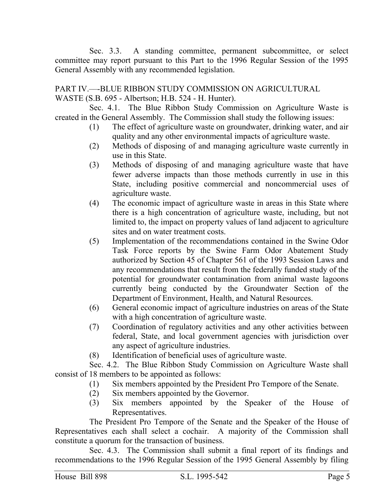Sec. 3.3. A standing committee, permanent subcommittee, or select committee may report pursuant to this Part to the 1996 Regular Session of the 1995 General Assembly with any recommended legislation.

PART IV.––-BLUE RIBBON STUDY COMMISSION ON AGRICULTURAL WASTE (S.B. 695 - Albertson; H.B. 524 - H. Hunter).

Sec. 4.1. The Blue Ribbon Study Commission on Agriculture Waste is created in the General Assembly. The Commission shall study the following issues:

- (1) The effect of agriculture waste on groundwater, drinking water, and air quality and any other environmental impacts of agriculture waste.
- (2) Methods of disposing of and managing agriculture waste currently in use in this State.
- (3) Methods of disposing of and managing agriculture waste that have fewer adverse impacts than those methods currently in use in this State, including positive commercial and noncommercial uses of agriculture waste.
- (4) The economic impact of agriculture waste in areas in this State where there is a high concentration of agriculture waste, including, but not limited to, the impact on property values of land adjacent to agriculture sites and on water treatment costs.
- (5) Implementation of the recommendations contained in the Swine Odor Task Force reports by the Swine Farm Odor Abatement Study authorized by Section 45 of Chapter 561 of the 1993 Session Laws and any recommendations that result from the federally funded study of the potential for groundwater contamination from animal waste lagoons currently being conducted by the Groundwater Section of the Department of Environment, Health, and Natural Resources.
- (6) General economic impact of agriculture industries on areas of the State with a high concentration of agriculture waste.
- (7) Coordination of regulatory activities and any other activities between federal, State, and local government agencies with jurisdiction over any aspect of agriculture industries.
- (8) Identification of beneficial uses of agriculture waste.

Sec. 4.2. The Blue Ribbon Study Commission on Agriculture Waste shall consist of 18 members to be appointed as follows:

- (1) Six members appointed by the President Pro Tempore of the Senate.
- (2) Six members appointed by the Governor.
- (3) Six members appointed by the Speaker of the House of Representatives.

The President Pro Tempore of the Senate and the Speaker of the House of Representatives each shall select a cochair. A majority of the Commission shall constitute a quorum for the transaction of business.

Sec. 4.3. The Commission shall submit a final report of its findings and recommendations to the 1996 Regular Session of the 1995 General Assembly by filing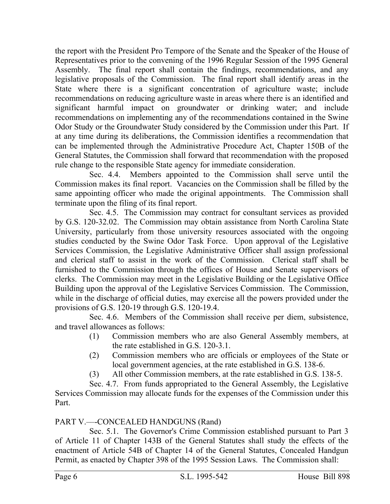the report with the President Pro Tempore of the Senate and the Speaker of the House of Representatives prior to the convening of the 1996 Regular Session of the 1995 General Assembly. The final report shall contain the findings, recommendations, and any legislative proposals of the Commission. The final report shall identify areas in the State where there is a significant concentration of agriculture waste; include recommendations on reducing agriculture waste in areas where there is an identified and significant harmful impact on groundwater or drinking water; and include recommendations on implementing any of the recommendations contained in the Swine Odor Study or the Groundwater Study considered by the Commission under this Part. If at any time during its deliberations, the Commission identifies a recommendation that can be implemented through the Administrative Procedure Act, Chapter 150B of the General Statutes, the Commission shall forward that recommendation with the proposed rule change to the responsible State agency for immediate consideration.

Sec. 4.4. Members appointed to the Commission shall serve until the Commission makes its final report. Vacancies on the Commission shall be filled by the same appointing officer who made the original appointments. The Commission shall terminate upon the filing of its final report.

Sec. 4.5. The Commission may contract for consultant services as provided by G.S. 120-32.02. The Commission may obtain assistance from North Carolina State University, particularly from those university resources associated with the ongoing studies conducted by the Swine Odor Task Force. Upon approval of the Legislative Services Commission, the Legislative Administrative Officer shall assign professional and clerical staff to assist in the work of the Commission. Clerical staff shall be furnished to the Commission through the offices of House and Senate supervisors of clerks. The Commission may meet in the Legislative Building or the Legislative Office Building upon the approval of the Legislative Services Commission. The Commission, while in the discharge of official duties, may exercise all the powers provided under the provisions of G.S. 120-19 through G.S. 120-19.4.

Sec. 4.6. Members of the Commission shall receive per diem, subsistence, and travel allowances as follows:

- (1) Commission members who are also General Assembly members, at the rate established in G.S. 120-3.1.
- (2) Commission members who are officials or employees of the State or local government agencies, at the rate established in G.S. 138-6.
- (3) All other Commission members, at the rate established in G.S. 138-5.

Sec. 4.7. From funds appropriated to the General Assembly, the Legislative Services Commission may allocate funds for the expenses of the Commission under this Part.

# PART V.—–CONCEALED HANDGUNS (Rand)

Sec. 5.1. The Governor's Crime Commission established pursuant to Part 3 of Article 11 of Chapter 143B of the General Statutes shall study the effects of the enactment of Article 54B of Chapter 14 of the General Statutes, Concealed Handgun Permit, as enacted by Chapter 398 of the 1995 Session Laws. The Commission shall: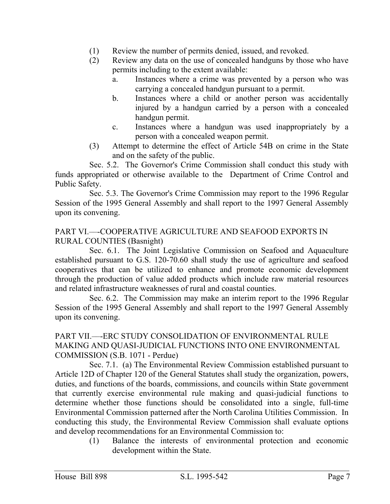- (1) Review the number of permits denied, issued, and revoked.
- (2) Review any data on the use of concealed handguns by those who have permits including to the extent available:
	- a. Instances where a crime was prevented by a person who was carrying a concealed handgun pursuant to a permit.
	- b. Instances where a child or another person was accidentally injured by a handgun carried by a person with a concealed handgun permit.
	- c. Instances where a handgun was used inappropriately by a person with a concealed weapon permit.
- (3) Attempt to determine the effect of Article 54B on crime in the State and on the safety of the public.

Sec. 5.2. The Governor's Crime Commission shall conduct this study with funds appropriated or otherwise available to the Department of Crime Control and Public Safety.

Sec. 5.3. The Governor's Crime Commission may report to the 1996 Regular Session of the 1995 General Assembly and shall report to the 1997 General Assembly upon its convening.

## PART VI.––-COOPERATIVE AGRICULTURE AND SEAFOOD EXPORTS IN RURAL COUNTIES (Basnight)

Sec. 6.1. The Joint Legislative Commission on Seafood and Aquaculture established pursuant to G.S. 120-70.60 shall study the use of agriculture and seafood cooperatives that can be utilized to enhance and promote economic development through the production of value added products which include raw material resources and related infrastructure weaknesses of rural and coastal counties.

Sec. 6.2. The Commission may make an interim report to the 1996 Regular Session of the 1995 General Assembly and shall report to the 1997 General Assembly upon its convening.

### PART VII.––-ERC STUDY CONSOLIDATION OF ENVIRONMENTAL RULE MAKING AND QUASI-JUDICIAL FUNCTIONS INTO ONE ENVIRONMENTAL COMMISSION (S.B. 1071 - Perdue)

Sec. 7.1. (a) The Environmental Review Commission established pursuant to Article 12D of Chapter 120 of the General Statutes shall study the organization, powers, duties, and functions of the boards, commissions, and councils within State government that currently exercise environmental rule making and quasi-judicial functions to determine whether those functions should be consolidated into a single, full-time Environmental Commission patterned after the North Carolina Utilities Commission. In conducting this study, the Environmental Review Commission shall evaluate options and develop recommendations for an Environmental Commission to:

(1) Balance the interests of environmental protection and economic development within the State.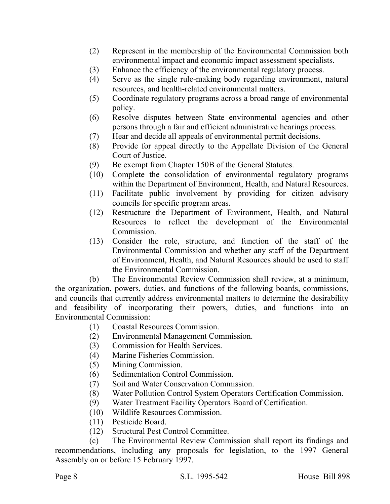- (2) Represent in the membership of the Environmental Commission both environmental impact and economic impact assessment specialists.
- (3) Enhance the efficiency of the environmental regulatory process.
- (4) Serve as the single rule-making body regarding environment, natural resources, and health-related environmental matters.
- (5) Coordinate regulatory programs across a broad range of environmental policy.
- (6) Resolve disputes between State environmental agencies and other persons through a fair and efficient administrative hearings process.
- (7) Hear and decide all appeals of environmental permit decisions.
- (8) Provide for appeal directly to the Appellate Division of the General Court of Justice.
- (9) Be exempt from Chapter 150B of the General Statutes.
- (10) Complete the consolidation of environmental regulatory programs within the Department of Environment, Health, and Natural Resources.
- (11) Facilitate public involvement by providing for citizen advisory councils for specific program areas.
- (12) Restructure the Department of Environment, Health, and Natural Resources to reflect the development of the Environmental Commission.
- (13) Consider the role, structure, and function of the staff of the Environmental Commission and whether any staff of the Department of Environment, Health, and Natural Resources should be used to staff the Environmental Commission.

(b) The Environmental Review Commission shall review, at a minimum, the organization, powers, duties, and functions of the following boards, commissions, and councils that currently address environmental matters to determine the desirability and feasibility of incorporating their powers, duties, and functions into an Environmental Commission:

- (1) Coastal Resources Commission.
- (2) Environmental Management Commission.
- (3) Commission for Health Services.
- (4) Marine Fisheries Commission.
- (5) Mining Commission.
- (6) Sedimentation Control Commission.
- (7) Soil and Water Conservation Commission.
- (8) Water Pollution Control System Operators Certification Commission.
- (9) Water Treatment Facility Operators Board of Certification.
- (10) Wildlife Resources Commission.
- (11) Pesticide Board.
- (12) Structural Pest Control Committee.

(c) The Environmental Review Commission shall report its findings and recommendations, including any proposals for legislation, to the 1997 General Assembly on or before 15 February 1997.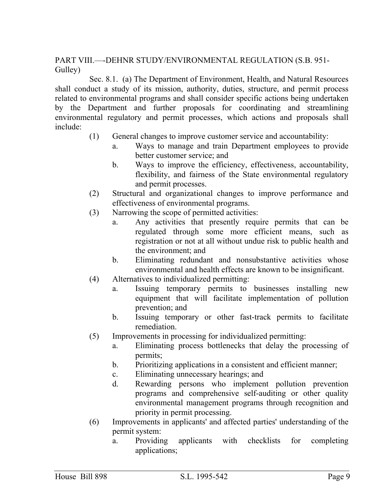PART VIII.––-DEHNR STUDY/ENVIRONMENTAL REGULATION (S.B. 951- Gulley)

Sec. 8.1. (a) The Department of Environment, Health, and Natural Resources shall conduct a study of its mission, authority, duties, structure, and permit process related to environmental programs and shall consider specific actions being undertaken by the Department and further proposals for coordinating and streamlining environmental regulatory and permit processes, which actions and proposals shall include:

- (1) General changes to improve customer service and accountability:
	- a. Ways to manage and train Department employees to provide better customer service; and
	- b. Ways to improve the efficiency, effectiveness, accountability, flexibility, and fairness of the State environmental regulatory and permit processes.
- (2) Structural and organizational changes to improve performance and effectiveness of environmental programs.
- (3) Narrowing the scope of permitted activities:
	- a. Any activities that presently require permits that can be regulated through some more efficient means, such as registration or not at all without undue risk to public health and the environment; and
	- b. Eliminating redundant and nonsubstantive activities whose environmental and health effects are known to be insignificant.
- (4) Alternatives to individualized permitting:
	- a. Issuing temporary permits to businesses installing new equipment that will facilitate implementation of pollution prevention; and
	- b. Issuing temporary or other fast-track permits to facilitate remediation.
- (5) Improvements in processing for individualized permitting:
	- a. Eliminating process bottlenecks that delay the processing of permits;
	- b. Prioritizing applications in a consistent and efficient manner;
	- c. Eliminating unnecessary hearings; and
	- d. Rewarding persons who implement pollution prevention programs and comprehensive self-auditing or other quality environmental management programs through recognition and priority in permit processing.
- (6) Improvements in applicants' and affected parties' understanding of the permit system:
	- a. Providing applicants with checklists for completing applications;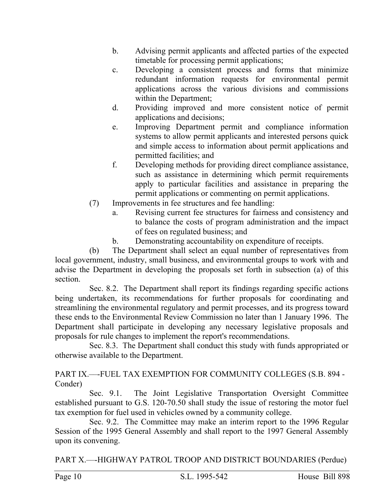- b. Advising permit applicants and affected parties of the expected timetable for processing permit applications;
- c. Developing a consistent process and forms that minimize redundant information requests for environmental permit applications across the various divisions and commissions within the Department;
- d. Providing improved and more consistent notice of permit applications and decisions;
- e. Improving Department permit and compliance information systems to allow permit applicants and interested persons quick and simple access to information about permit applications and permitted facilities; and
- f. Developing methods for providing direct compliance assistance, such as assistance in determining which permit requirements apply to particular facilities and assistance in preparing the permit applications or commenting on permit applications.
- (7) Improvements in fee structures and fee handling:
	- a. Revising current fee structures for fairness and consistency and to balance the costs of program administration and the impact of fees on regulated business; and
	- b. Demonstrating accountability on expenditure of receipts.

(b) The Department shall select an equal number of representatives from local government, industry, small business, and environmental groups to work with and advise the Department in developing the proposals set forth in subsection (a) of this section.

Sec. 8.2. The Department shall report its findings regarding specific actions being undertaken, its recommendations for further proposals for coordinating and streamlining the environmental regulatory and permit processes, and its progress toward these ends to the Environmental Review Commission no later than 1 January 1996. The Department shall participate in developing any necessary legislative proposals and proposals for rule changes to implement the report's recommendations.

Sec. 8.3. The Department shall conduct this study with funds appropriated or otherwise available to the Department.

PART IX.––-FUEL TAX EXEMPTION FOR COMMUNITY COLLEGES (S.B. 894 - Conder)

Sec. 9.1. The Joint Legislative Transportation Oversight Committee established pursuant to G.S. 120-70.50 shall study the issue of restoring the motor fuel tax exemption for fuel used in vehicles owned by a community college.

Sec. 9.2. The Committee may make an interim report to the 1996 Regular Session of the 1995 General Assembly and shall report to the 1997 General Assembly upon its convening.

PART X.––-HIGHWAY PATROL TROOP AND DISTRICT BOUNDARIES (Perdue)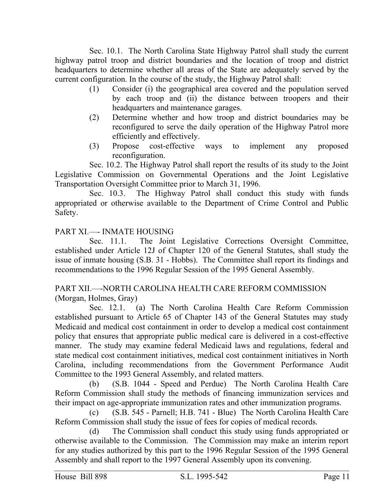Sec. 10.1. The North Carolina State Highway Patrol shall study the current highway patrol troop and district boundaries and the location of troop and district headquarters to determine whether all areas of the State are adequately served by the current configuration. In the course of the study, the Highway Patrol shall:

- (1) Consider (i) the geographical area covered and the population served by each troop and (ii) the distance between troopers and their headquarters and maintenance garages.
- (2) Determine whether and how troop and district boundaries may be reconfigured to serve the daily operation of the Highway Patrol more efficiently and effectively.
- (3) Propose cost-effective ways to implement any proposed reconfiguration.

Sec. 10.2. The Highway Patrol shall report the results of its study to the Joint Legislative Commission on Governmental Operations and the Joint Legislative Transportation Oversight Committee prior to March 31, 1996.

Sec. 10.3. The Highway Patrol shall conduct this study with funds appropriated or otherwise available to the Department of Crime Control and Public Safety.

## PART XI.--- INMATE HOUSING

Sec. 11.1. The Joint Legislative Corrections Oversight Committee, established under Article 12J of Chapter 120 of the General Statutes, shall study the issue of inmate housing (S.B. 31 - Hobbs). The Committee shall report its findings and recommendations to the 1996 Regular Session of the 1995 General Assembly.

## PART XII.––-NORTH CAROLINA HEALTH CARE REFORM COMMISSION (Morgan, Holmes, Gray)

Sec. 12.1. (a) The North Carolina Health Care Reform Commission established pursuant to Article 65 of Chapter 143 of the General Statutes may study Medicaid and medical cost containment in order to develop a medical cost containment policy that ensures that appropriate public medical care is delivered in a cost-effective manner. The study may examine federal Medicaid laws and regulations, federal and state medical cost containment initiatives, medical cost containment initiatives in North Carolina, including recommendations from the Government Performance Audit Committee to the 1993 General Assembly, and related matters.

(b) (S.B. 1044 - Speed and Perdue) The North Carolina Health Care Reform Commission shall study the methods of financing immunization services and their impact on age-appropriate immunization rates and other immunization programs.

(c) (S.B. 545 - Parnell; H.B. 741 - Blue) The North Carolina Health Care Reform Commission shall study the issue of fees for copies of medical records.

(d) The Commission shall conduct this study using funds appropriated or otherwise available to the Commission. The Commission may make an interim report for any studies authorized by this part to the 1996 Regular Session of the 1995 General Assembly and shall report to the 1997 General Assembly upon its convening.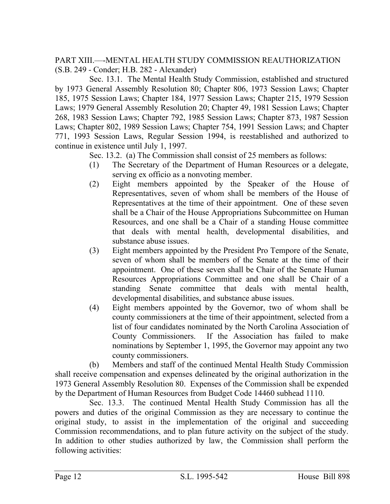PART XIII.––-MENTAL HEALTH STUDY COMMISSION REAUTHORIZATION (S.B. 249 - Conder; H.B. 282 - Alexander)

Sec. 13.1. The Mental Health Study Commission, established and structured by 1973 General Assembly Resolution 80; Chapter 806, 1973 Session Laws; Chapter 185, 1975 Session Laws; Chapter 184, 1977 Session Laws; Chapter 215, 1979 Session Laws; 1979 General Assembly Resolution 20; Chapter 49, 1981 Session Laws; Chapter 268, 1983 Session Laws; Chapter 792, 1985 Session Laws; Chapter 873, 1987 Session Laws; Chapter 802, 1989 Session Laws; Chapter 754, 1991 Session Laws; and Chapter 771, 1993 Session Laws, Regular Session 1994, is reestablished and authorized to continue in existence until July 1, 1997.

Sec. 13.2. (a) The Commission shall consist of 25 members as follows:

- (1) The Secretary of the Department of Human Resources or a delegate, serving ex officio as a nonvoting member.
- (2) Eight members appointed by the Speaker of the House of Representatives, seven of whom shall be members of the House of Representatives at the time of their appointment. One of these seven shall be a Chair of the House Appropriations Subcommittee on Human Resources, and one shall be a Chair of a standing House committee that deals with mental health, developmental disabilities, and substance abuse issues.
- (3) Eight members appointed by the President Pro Tempore of the Senate, seven of whom shall be members of the Senate at the time of their appointment. One of these seven shall be Chair of the Senate Human Resources Appropriations Committee and one shall be Chair of a standing Senate committee that deals with mental health, developmental disabilities, and substance abuse issues.
- (4) Eight members appointed by the Governor, two of whom shall be county commissioners at the time of their appointment, selected from a list of four candidates nominated by the North Carolina Association of County Commissioners. If the Association has failed to make nominations by September 1, 1995, the Governor may appoint any two county commissioners.

(b) Members and staff of the continued Mental Health Study Commission shall receive compensation and expenses delineated by the original authorization in the 1973 General Assembly Resolution 80. Expenses of the Commission shall be expended by the Department of Human Resources from Budget Code 14460 subhead 1110.

Sec. 13.3. The continued Mental Health Study Commission has all the powers and duties of the original Commission as they are necessary to continue the original study, to assist in the implementation of the original and succeeding Commission recommendations, and to plan future activity on the subject of the study. In addition to other studies authorized by law, the Commission shall perform the following activities: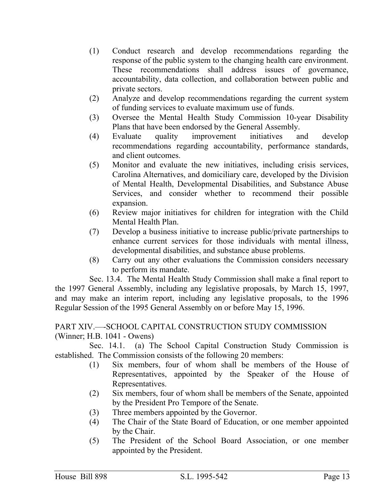- (1) Conduct research and develop recommendations regarding the response of the public system to the changing health care environment. These recommendations shall address issues of governance, accountability, data collection, and collaboration between public and private sectors.
- (2) Analyze and develop recommendations regarding the current system of funding services to evaluate maximum use of funds.
- (3) Oversee the Mental Health Study Commission 10-year Disability Plans that have been endorsed by the General Assembly.
- (4) Evaluate quality improvement initiatives and develop recommendations regarding accountability, performance standards, and client outcomes.
- (5) Monitor and evaluate the new initiatives, including crisis services, Carolina Alternatives, and domiciliary care, developed by the Division of Mental Health, Developmental Disabilities, and Substance Abuse Services, and consider whether to recommend their possible expansion.
- (6) Review major initiatives for children for integration with the Child Mental Health Plan.
- (7) Develop a business initiative to increase public/private partnerships to enhance current services for those individuals with mental illness, developmental disabilities, and substance abuse problems.
- (8) Carry out any other evaluations the Commission considers necessary to perform its mandate.

Sec. 13.4. The Mental Health Study Commission shall make a final report to the 1997 General Assembly, including any legislative proposals, by March 15, 1997, and may make an interim report, including any legislative proposals, to the 1996 Regular Session of the 1995 General Assembly on or before May 15, 1996.

### PART XIV.––-SCHOOL CAPITAL CONSTRUCTION STUDY COMMISSION (Winner; H.B. 1041 - Owens)

Sec. 14.1. (a) The School Capital Construction Study Commission is established. The Commission consists of the following 20 members:

- (1) Six members, four of whom shall be members of the House of Representatives, appointed by the Speaker of the House of Representatives.
- (2) Six members, four of whom shall be members of the Senate, appointed by the President Pro Tempore of the Senate.
- (3) Three members appointed by the Governor.
- (4) The Chair of the State Board of Education, or one member appointed by the Chair.
- (5) The President of the School Board Association, or one member appointed by the President.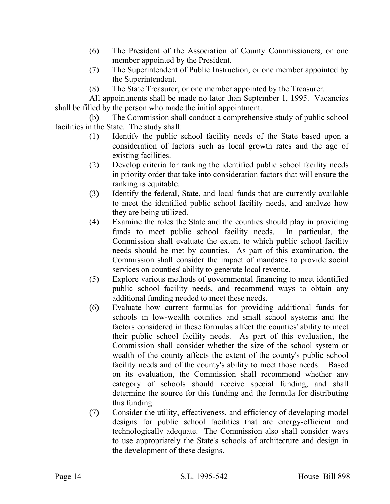- (6) The President of the Association of County Commissioners, or one member appointed by the President.
- (7) The Superintendent of Public Instruction, or one member appointed by the Superintendent.
- (8) The State Treasurer, or one member appointed by the Treasurer.

All appointments shall be made no later than September 1, 1995. Vacancies shall be filled by the person who made the initial appointment.

(b) The Commission shall conduct a comprehensive study of public school facilities in the State. The study shall:

- (1) Identify the public school facility needs of the State based upon a consideration of factors such as local growth rates and the age of existing facilities.
- (2) Develop criteria for ranking the identified public school facility needs in priority order that take into consideration factors that will ensure the ranking is equitable.
- (3) Identify the federal, State, and local funds that are currently available to meet the identified public school facility needs, and analyze how they are being utilized.
- (4) Examine the roles the State and the counties should play in providing funds to meet public school facility needs. In particular, the Commission shall evaluate the extent to which public school facility needs should be met by counties. As part of this examination, the Commission shall consider the impact of mandates to provide social services on counties' ability to generate local revenue.
- (5) Explore various methods of governmental financing to meet identified public school facility needs, and recommend ways to obtain any additional funding needed to meet these needs.
- (6) Evaluate how current formulas for providing additional funds for schools in low-wealth counties and small school systems and the factors considered in these formulas affect the counties' ability to meet their public school facility needs. As part of this evaluation, the Commission shall consider whether the size of the school system or wealth of the county affects the extent of the county's public school facility needs and of the county's ability to meet those needs. Based on its evaluation, the Commission shall recommend whether any category of schools should receive special funding, and shall determine the source for this funding and the formula for distributing this funding.
- (7) Consider the utility, effectiveness, and efficiency of developing model designs for public school facilities that are energy-efficient and technologically adequate. The Commission also shall consider ways to use appropriately the State's schools of architecture and design in the development of these designs.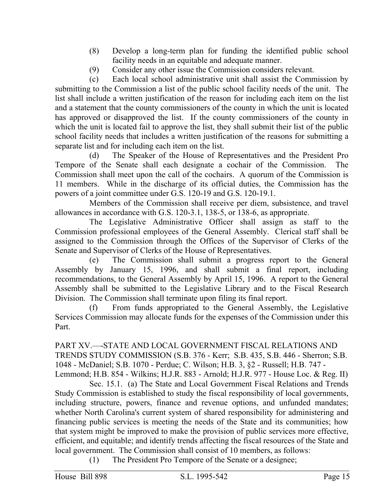- (8) Develop a long-term plan for funding the identified public school facility needs in an equitable and adequate manner.
- (9) Consider any other issue the Commission considers relevant.

(c) Each local school administrative unit shall assist the Commission by submitting to the Commission a list of the public school facility needs of the unit. The list shall include a written justification of the reason for including each item on the list and a statement that the county commissioners of the county in which the unit is located has approved or disapproved the list. If the county commissioners of the county in which the unit is located fail to approve the list, they shall submit their list of the public school facility needs that includes a written justification of the reasons for submitting a separate list and for including each item on the list.

(d) The Speaker of the House of Representatives and the President Pro Tempore of the Senate shall each designate a cochair of the Commission. The Commission shall meet upon the call of the cochairs. A quorum of the Commission is 11 members. While in the discharge of its official duties, the Commission has the powers of a joint committee under G.S. 120-19 and G.S. 120-19.1.

Members of the Commission shall receive per diem, subsistence, and travel allowances in accordance with G.S. 120-3.1, 138-5, or 138-6, as appropriate.

The Legislative Administrative Officer shall assign as staff to the Commission professional employees of the General Assembly. Clerical staff shall be assigned to the Commission through the Offices of the Supervisor of Clerks of the Senate and Supervisor of Clerks of the House of Representatives.

(e) The Commission shall submit a progress report to the General Assembly by January 15, 1996, and shall submit a final report, including recommendations, to the General Assembly by April 15, 1996. A report to the General Assembly shall be submitted to the Legislative Library and to the Fiscal Research Division. The Commission shall terminate upon filing its final report.

(f) From funds appropriated to the General Assembly, the Legislative Services Commission may allocate funds for the expenses of the Commission under this Part.

PART XV.---STATE AND LOCAL GOVERNMENT FISCAL RELATIONS AND TRENDS STUDY COMMISSION (S.B. 376 - Kerr; S.B. 435, S.B. 446 - Sherron; S.B. 1048 - McDaniel; S.B. 1070 - Perdue; C. Wilson; H.B. 3, §2 - Russell; H.B. 747 - Lemmond; H.B. 854 - Wilkins; H.J.R. 883 - Arnold; H.J.R. 977 - House Loc. & Reg. II)

Sec. 15.1. (a) The State and Local Government Fiscal Relations and Trends Study Commission is established to study the fiscal responsibility of local governments, including structure, powers, finance and revenue options, and unfunded mandates; whether North Carolina's current system of shared responsibility for administering and financing public services is meeting the needs of the State and its communities; how that system might be improved to make the provision of public services more effective, efficient, and equitable; and identify trends affecting the fiscal resources of the State and local government. The Commission shall consist of 10 members, as follows:

(1) The President Pro Tempore of the Senate or a designee;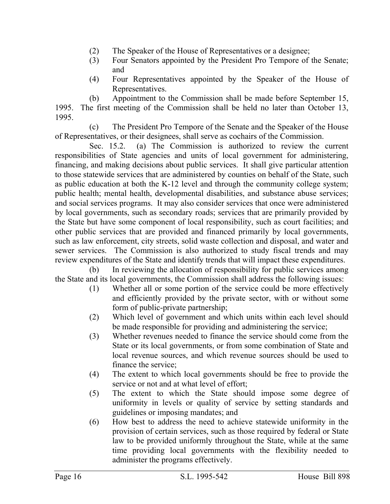- (2) The Speaker of the House of Representatives or a designee;
- (3) Four Senators appointed by the President Pro Tempore of the Senate; and
- (4) Four Representatives appointed by the Speaker of the House of Representatives.

(b) Appointment to the Commission shall be made before September 15,

1995. The first meeting of the Commission shall be held no later than October 13, 1995.

(c) The President Pro Tempore of the Senate and the Speaker of the House of Representatives, or their designees, shall serve as cochairs of the Commission.

Sec. 15.2. (a) The Commission is authorized to review the current responsibilities of State agencies and units of local government for administering, financing, and making decisions about public services. It shall give particular attention to those statewide services that are administered by counties on behalf of the State, such as public education at both the K-12 level and through the community college system; public health; mental health, developmental disabilities, and substance abuse services; and social services programs. It may also consider services that once were administered by local governments, such as secondary roads; services that are primarily provided by the State but have some component of local responsibility, such as court facilities; and other public services that are provided and financed primarily by local governments, such as law enforcement, city streets, solid waste collection and disposal, and water and sewer services. The Commission is also authorized to study fiscal trends and may review expenditures of the State and identify trends that will impact these expenditures.

(b) In reviewing the allocation of responsibility for public services among the State and its local governments, the Commission shall address the following issues:

- (1) Whether all or some portion of the service could be more effectively and efficiently provided by the private sector, with or without some form of public-private partnership;
- (2) Which level of government and which units within each level should be made responsible for providing and administering the service;
- (3) Whether revenues needed to finance the service should come from the State or its local governments, or from some combination of State and local revenue sources, and which revenue sources should be used to finance the service;
- (4) The extent to which local governments should be free to provide the service or not and at what level of effort;
- (5) The extent to which the State should impose some degree of uniformity in levels or quality of service by setting standards and guidelines or imposing mandates; and
- (6) How best to address the need to achieve statewide uniformity in the provision of certain services, such as those required by federal or State law to be provided uniformly throughout the State, while at the same time providing local governments with the flexibility needed to administer the programs effectively.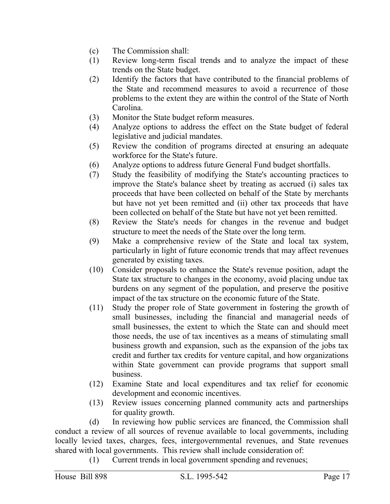- (c) The Commission shall:
- (1) Review long-term fiscal trends and to analyze the impact of these trends on the State budget.
- (2) Identify the factors that have contributed to the financial problems of the State and recommend measures to avoid a recurrence of those problems to the extent they are within the control of the State of North Carolina.
- (3) Monitor the State budget reform measures.
- (4) Analyze options to address the effect on the State budget of federal legislative and judicial mandates.
- (5) Review the condition of programs directed at ensuring an adequate workforce for the State's future.
- (6) Analyze options to address future General Fund budget shortfalls.
- (7) Study the feasibility of modifying the State's accounting practices to improve the State's balance sheet by treating as accrued (i) sales tax proceeds that have been collected on behalf of the State by merchants but have not yet been remitted and (ii) other tax proceeds that have been collected on behalf of the State but have not yet been remitted.
- (8) Review the State's needs for changes in the revenue and budget structure to meet the needs of the State over the long term.
- (9) Make a comprehensive review of the State and local tax system, particularly in light of future economic trends that may affect revenues generated by existing taxes.
- (10) Consider proposals to enhance the State's revenue position, adapt the State tax structure to changes in the economy, avoid placing undue tax burdens on any segment of the population, and preserve the positive impact of the tax structure on the economic future of the State.
- (11) Study the proper role of State government in fostering the growth of small businesses, including the financial and managerial needs of small businesses, the extent to which the State can and should meet those needs, the use of tax incentives as a means of stimulating small business growth and expansion, such as the expansion of the jobs tax credit and further tax credits for venture capital, and how organizations within State government can provide programs that support small business.
- (12) Examine State and local expenditures and tax relief for economic development and economic incentives.
- (13) Review issues concerning planned community acts and partnerships for quality growth.

(d) In reviewing how public services are financed, the Commission shall conduct a review of all sources of revenue available to local governments, including locally levied taxes, charges, fees, intergovernmental revenues, and State revenues shared with local governments. This review shall include consideration of:

(1) Current trends in local government spending and revenues;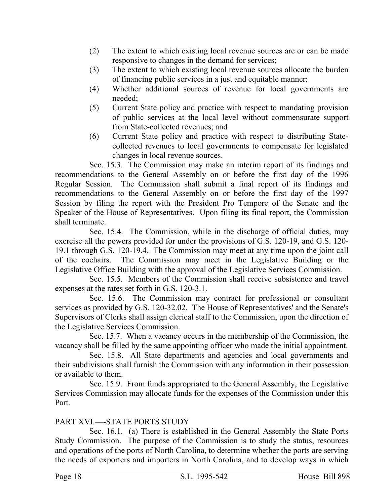- (2) The extent to which existing local revenue sources are or can be made responsive to changes in the demand for services;
- (3) The extent to which existing local revenue sources allocate the burden of financing public services in a just and equitable manner;
- (4) Whether additional sources of revenue for local governments are needed;
- (5) Current State policy and practice with respect to mandating provision of public services at the local level without commensurate support from State-collected revenues; and
- (6) Current State policy and practice with respect to distributing Statecollected revenues to local governments to compensate for legislated changes in local revenue sources.

Sec. 15.3. The Commission may make an interim report of its findings and recommendations to the General Assembly on or before the first day of the 1996 Regular Session. The Commission shall submit a final report of its findings and recommendations to the General Assembly on or before the first day of the 1997 Session by filing the report with the President Pro Tempore of the Senate and the Speaker of the House of Representatives. Upon filing its final report, the Commission shall terminate.

Sec. 15.4. The Commission, while in the discharge of official duties, may exercise all the powers provided for under the provisions of G.S. 120-19, and G.S. 120- 19.1 through G.S. 120-19.4. The Commission may meet at any time upon the joint call of the cochairs. The Commission may meet in the Legislative Building or the Legislative Office Building with the approval of the Legislative Services Commission.

Sec. 15.5. Members of the Commission shall receive subsistence and travel expenses at the rates set forth in G.S. 120-3.1.

Sec. 15.6. The Commission may contract for professional or consultant services as provided by G.S. 120-32.02. The House of Representatives' and the Senate's Supervisors of Clerks shall assign clerical staff to the Commission, upon the direction of the Legislative Services Commission.

Sec. 15.7. When a vacancy occurs in the membership of the Commission, the vacancy shall be filled by the same appointing officer who made the initial appointment.

Sec. 15.8. All State departments and agencies and local governments and their subdivisions shall furnish the Commission with any information in their possession or available to them.

Sec. 15.9. From funds appropriated to the General Assembly, the Legislative Services Commission may allocate funds for the expenses of the Commission under this Part.

## PART XVI.—-STATE PORTS STUDY

Sec. 16.1. (a) There is established in the General Assembly the State Ports Study Commission. The purpose of the Commission is to study the status, resources and operations of the ports of North Carolina, to determine whether the ports are serving the needs of exporters and importers in North Carolina, and to develop ways in which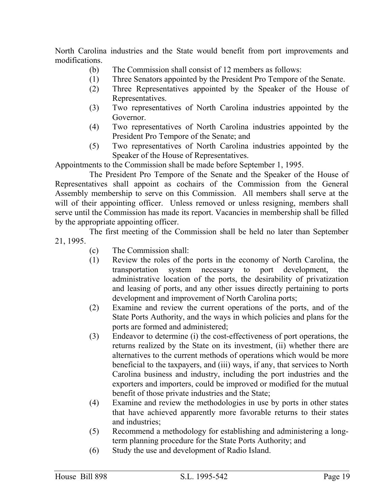North Carolina industries and the State would benefit from port improvements and modifications.

- (b) The Commission shall consist of 12 members as follows:
- (1) Three Senators appointed by the President Pro Tempore of the Senate.
- (2) Three Representatives appointed by the Speaker of the House of Representatives.
- (3) Two representatives of North Carolina industries appointed by the Governor.
- (4) Two representatives of North Carolina industries appointed by the President Pro Tempore of the Senate; and
- (5) Two representatives of North Carolina industries appointed by the Speaker of the House of Representatives.

Appointments to the Commission shall be made before September 1, 1995.

The President Pro Tempore of the Senate and the Speaker of the House of Representatives shall appoint as cochairs of the Commission from the General Assembly membership to serve on this Commission. All members shall serve at the will of their appointing officer. Unless removed or unless resigning, members shall serve until the Commission has made its report. Vacancies in membership shall be filled by the appropriate appointing officer.

The first meeting of the Commission shall be held no later than September 21, 1995.

- (c) The Commission shall:
- (1) Review the roles of the ports in the economy of North Carolina, the transportation system necessary to port development, the administrative location of the ports, the desirability of privatization and leasing of ports, and any other issues directly pertaining to ports development and improvement of North Carolina ports;
- (2) Examine and review the current operations of the ports, and of the State Ports Authority, and the ways in which policies and plans for the ports are formed and administered;
- (3) Endeavor to determine (i) the cost-effectiveness of port operations, the returns realized by the State on its investment, (ii) whether there are alternatives to the current methods of operations which would be more beneficial to the taxpayers, and (iii) ways, if any, that services to North Carolina business and industry, including the port industries and the exporters and importers, could be improved or modified for the mutual benefit of those private industries and the State;
- (4) Examine and review the methodologies in use by ports in other states that have achieved apparently more favorable returns to their states and industries;
- (5) Recommend a methodology for establishing and administering a longterm planning procedure for the State Ports Authority; and
- (6) Study the use and development of Radio Island.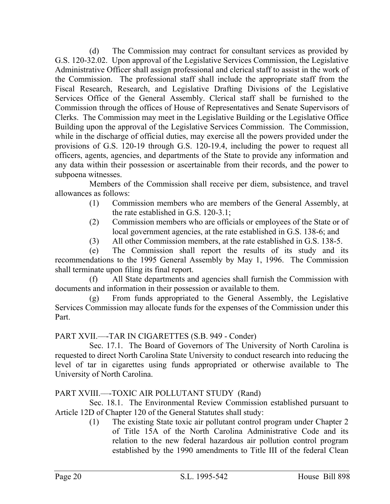(d) The Commission may contract for consultant services as provided by G.S. 120-32.02. Upon approval of the Legislative Services Commission, the Legislative Administrative Officer shall assign professional and clerical staff to assist in the work of the Commission. The professional staff shall include the appropriate staff from the Fiscal Research, Research, and Legislative Drafting Divisions of the Legislative Services Office of the General Assembly. Clerical staff shall be furnished to the Commission through the offices of House of Representatives and Senate Supervisors of Clerks. The Commission may meet in the Legislative Building or the Legislative Office Building upon the approval of the Legislative Services Commission. The Commission, while in the discharge of official duties, may exercise all the powers provided under the provisions of G.S. 120-19 through G.S. 120-19.4, including the power to request all officers, agents, agencies, and departments of the State to provide any information and any data within their possession or ascertainable from their records, and the power to subpoena witnesses.

Members of the Commission shall receive per diem, subsistence, and travel allowances as follows:

- (1) Commission members who are members of the General Assembly, at the rate established in G.S. 120-3.1;
- (2) Commission members who are officials or employees of the State or of local government agencies, at the rate established in G.S. 138-6; and
- (3) All other Commission members, at the rate established in G.S. 138-5.

(e) The Commission shall report the results of its study and its recommendations to the 1995 General Assembly by May 1, 1996. The Commission shall terminate upon filing its final report.

(f) All State departments and agencies shall furnish the Commission with documents and information in their possession or available to them.

(g) From funds appropriated to the General Assembly, the Legislative Services Commission may allocate funds for the expenses of the Commission under this Part.

PART XVII.––-TAR IN CIGARETTES (S.B. 949 - Conder)

Sec. 17.1. The Board of Governors of The University of North Carolina is requested to direct North Carolina State University to conduct research into reducing the level of tar in cigarettes using funds appropriated or otherwise available to The University of North Carolina.

## PART XVIII.—-TOXIC AIR POLLUTANT STUDY (Rand)

Sec. 18.1. The Environmental Review Commission established pursuant to Article 12D of Chapter 120 of the General Statutes shall study:

(1) The existing State toxic air pollutant control program under Chapter 2 of Title 15A of the North Carolina Administrative Code and its relation to the new federal hazardous air pollution control program established by the 1990 amendments to Title III of the federal Clean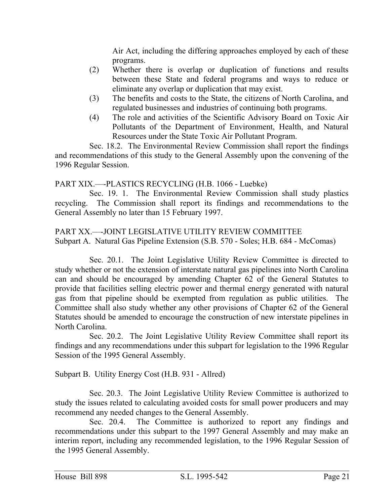Air Act, including the differing approaches employed by each of these programs.

- (2) Whether there is overlap or duplication of functions and results between these State and federal programs and ways to reduce or eliminate any overlap or duplication that may exist.
- (3) The benefits and costs to the State, the citizens of North Carolina, and regulated businesses and industries of continuing both programs.
- (4) The role and activities of the Scientific Advisory Board on Toxic Air Pollutants of the Department of Environment, Health, and Natural Resources under the State Toxic Air Pollutant Program.

Sec. 18.2. The Environmental Review Commission shall report the findings and recommendations of this study to the General Assembly upon the convening of the 1996 Regular Session.

## PART XIX.––-PLASTICS RECYCLING (H.B. 1066 - Luebke)

Sec. 19. 1. The Environmental Review Commission shall study plastics recycling. The Commission shall report its findings and recommendations to the General Assembly no later than 15 February 1997.

## PART XX.––-JOINT LEGISLATIVE UTILITY REVIEW COMMITTEE Subpart A. Natural Gas Pipeline Extension (S.B. 570 - Soles; H.B. 684 - McComas)

Sec. 20.1. The Joint Legislative Utility Review Committee is directed to study whether or not the extension of interstate natural gas pipelines into North Carolina can and should be encouraged by amending Chapter 62 of the General Statutes to provide that facilities selling electric power and thermal energy generated with natural gas from that pipeline should be exempted from regulation as public utilities. The Committee shall also study whether any other provisions of Chapter 62 of the General Statutes should be amended to encourage the construction of new interstate pipelines in North Carolina.

Sec. 20.2. The Joint Legislative Utility Review Committee shall report its findings and any recommendations under this subpart for legislation to the 1996 Regular Session of the 1995 General Assembly.

Subpart B. Utility Energy Cost (H.B. 931 - Allred)

Sec. 20.3. The Joint Legislative Utility Review Committee is authorized to study the issues related to calculating avoided costs for small power producers and may recommend any needed changes to the General Assembly.

Sec. 20.4. The Committee is authorized to report any findings and recommendations under this subpart to the 1997 General Assembly and may make an interim report, including any recommended legislation, to the 1996 Regular Session of the 1995 General Assembly.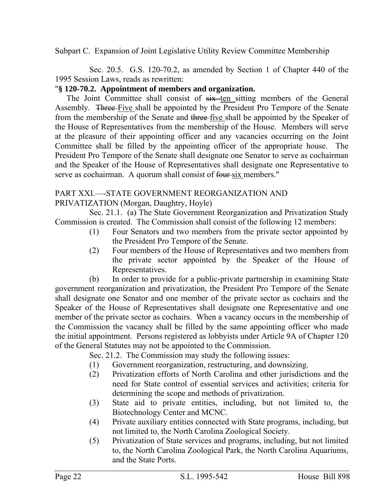Subpart C. Expansion of Joint Legislative Utility Review Committee Membership

Sec. 20.5. G.S. 120-70.2, as amended by Section 1 of Chapter 440 of the 1995 Session Laws, reads as rewritten:

## "**§ 120-70.2. Appointment of members and organization.**

The Joint Committee shall consist of  $s$ ix ten sitting members of the General Assembly. Three Five shall be appointed by the President Pro Tempore of the Senate from the membership of the Senate and three five shall be appointed by the Speaker of the House of Representatives from the membership of the House. Members will serve at the pleasure of their appointing officer and any vacancies occurring on the Joint Committee shall be filled by the appointing officer of the appropriate house. The President Pro Tempore of the Senate shall designate one Senator to serve as cochairman and the Speaker of the House of Representatives shall designate one Representative to serve as cochairman. A quorum shall consist of four six members."

# PART XXI.––-STATE GOVERNMENT REORGANIZATION AND

PRIVATIZATION (Morgan, Daughtry, Hoyle)

Sec. 21.1. (a) The State Government Reorganization and Privatization Study Commission is created. The Commission shall consist of the following 12 members:

- (1) Four Senators and two members from the private sector appointed by the President Pro Tempore of the Senate.
- (2) Four members of the House of Representatives and two members from the private sector appointed by the Speaker of the House of Representatives.

(b) In order to provide for a public-private partnership in examining State government reorganization and privatization, the President Pro Tempore of the Senate shall designate one Senator and one member of the private sector as cochairs and the Speaker of the House of Representatives shall designate one Representative and one member of the private sector as cochairs. When a vacancy occurs in the membership of the Commission the vacancy shall be filled by the same appointing officer who made the initial appointment. Persons registered as lobbyists under Article 9A of Chapter 120 of the General Statutes may not be appointed to the Commission.

Sec. 21.2. The Commission may study the following issues:

- (1) Government reorganization, restructuring, and downsizing.
- (2) Privatization efforts of North Carolina and other jurisdictions and the need for State control of essential services and activities; criteria for determining the scope and methods of privatization.
- (3) State aid to private entities, including, but not limited to, the Biotechnology Center and MCNC.
- (4) Private auxiliary entities connected with State programs, including, but not limited to, the North Carolina Zoological Society.
- (5) Privatization of State services and programs, including, but not limited to, the North Carolina Zoological Park, the North Carolina Aquariums, and the State Ports.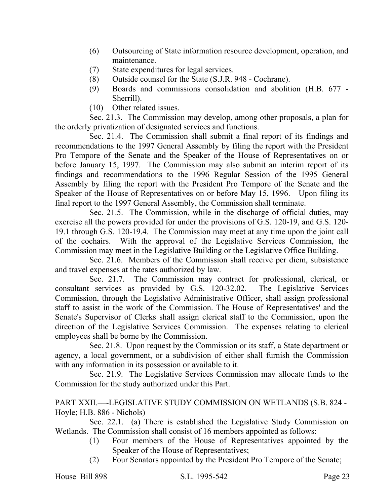- (6) Outsourcing of State information resource development, operation, and maintenance.
- (7) State expenditures for legal services.
- (8) Outside counsel for the State (S.J.R. 948 Cochrane).
- (9) Boards and commissions consolidation and abolition (H.B. 677 Sherrill).
- (10) Other related issues.

Sec. 21.3. The Commission may develop, among other proposals, a plan for the orderly privatization of designated services and functions.

Sec. 21.4. The Commission shall submit a final report of its findings and recommendations to the 1997 General Assembly by filing the report with the President Pro Tempore of the Senate and the Speaker of the House of Representatives on or before January 15, 1997. The Commission may also submit an interim report of its findings and recommendations to the 1996 Regular Session of the 1995 General Assembly by filing the report with the President Pro Tempore of the Senate and the Speaker of the House of Representatives on or before May 15, 1996. Upon filing its final report to the 1997 General Assembly, the Commission shall terminate.

Sec. 21.5. The Commission, while in the discharge of official duties, may exercise all the powers provided for under the provisions of G.S. 120-19, and G.S. 120- 19.1 through G.S. 120-19.4. The Commission may meet at any time upon the joint call of the cochairs. With the approval of the Legislative Services Commission, the Commission may meet in the Legislative Building or the Legislative Office Building.

Sec. 21.6. Members of the Commission shall receive per diem, subsistence and travel expenses at the rates authorized by law.

Sec. 21.7. The Commission may contract for professional, clerical, or consultant services as provided by G.S. 120-32.02. The Legislative Services Commission, through the Legislative Administrative Officer, shall assign professional staff to assist in the work of the Commission. The House of Representatives' and the Senate's Supervisor of Clerks shall assign clerical staff to the Commission, upon the direction of the Legislative Services Commission. The expenses relating to clerical employees shall be borne by the Commission.

Sec. 21.8. Upon request by the Commission or its staff, a State department or agency, a local government, or a subdivision of either shall furnish the Commission with any information in its possession or available to it.

Sec. 21.9. The Legislative Services Commission may allocate funds to the Commission for the study authorized under this Part.

PART XXII.––-LEGISLATIVE STUDY COMMISSION ON WETLANDS (S.B. 824 - Hoyle; H.B. 886 - Nichols)

Sec. 22.1. (a) There is established the Legislative Study Commission on Wetlands. The Commission shall consist of 16 members appointed as follows:

- (1) Four members of the House of Representatives appointed by the Speaker of the House of Representatives;
- (2) Four Senators appointed by the President Pro Tempore of the Senate;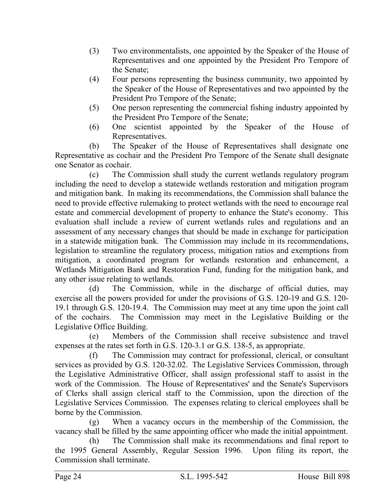- (3) Two environmentalists, one appointed by the Speaker of the House of Representatives and one appointed by the President Pro Tempore of the Senate;
- (4) Four persons representing the business community, two appointed by the Speaker of the House of Representatives and two appointed by the President Pro Tempore of the Senate;
- (5) One person representing the commercial fishing industry appointed by the President Pro Tempore of the Senate;
- (6) One scientist appointed by the Speaker of the House of Representatives.

(b) The Speaker of the House of Representatives shall designate one Representative as cochair and the President Pro Tempore of the Senate shall designate one Senator as cochair.

(c) The Commission shall study the current wetlands regulatory program including the need to develop a statewide wetlands restoration and mitigation program and mitigation bank. In making its recommendations, the Commission shall balance the need to provide effective rulemaking to protect wetlands with the need to encourage real estate and commercial development of property to enhance the State's economy. This evaluation shall include a review of current wetlands rules and regulations and an assessment of any necessary changes that should be made in exchange for participation in a statewide mitigation bank. The Commission may include in its recommendations, legislation to streamline the regulatory process, mitigation ratios and exemptions from mitigation, a coordinated program for wetlands restoration and enhancement, a Wetlands Mitigation Bank and Restoration Fund, funding for the mitigation bank, and any other issue relating to wetlands.

(d) The Commission, while in the discharge of official duties, may exercise all the powers provided for under the provisions of G.S. 120-19 and G.S. 120- 19.1 through G.S. 120-19.4. The Commission may meet at any time upon the joint call of the cochairs. The Commission may meet in the Legislative Building or the Legislative Office Building.

(e) Members of the Commission shall receive subsistence and travel expenses at the rates set forth in G.S. 120-3.1 or G.S. 138-5, as appropriate.

(f) The Commission may contract for professional, clerical, or consultant services as provided by G.S. 120-32.02. The Legislative Services Commission, through the Legislative Administrative Officer, shall assign professional staff to assist in the work of the Commission. The House of Representatives' and the Senate's Supervisors of Clerks shall assign clerical staff to the Commission, upon the direction of the Legislative Services Commission. The expenses relating to clerical employees shall be borne by the Commission.

(g) When a vacancy occurs in the membership of the Commission, the vacancy shall be filled by the same appointing officer who made the initial appointment.

(h) The Commission shall make its recommendations and final report to the 1995 General Assembly, Regular Session 1996. Upon filing its report, the Commission shall terminate.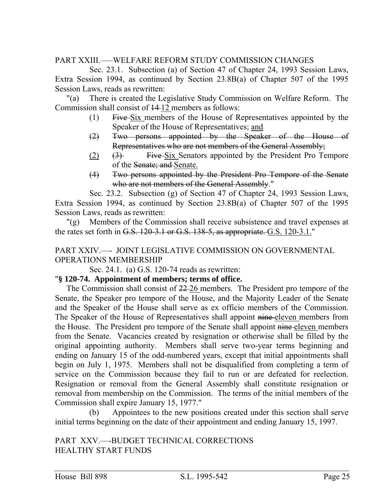## PART XXIII.–––WELFARE REFORM STUDY COMMISSION CHANGES

Sec. 23.1. Subsection (a) of Section 47 of Chapter 24, 1993 Session Laws, Extra Session 1994, as continued by Section 23.8B(a) of Chapter 507 of the 1995 Session Laws, reads as rewritten:

"(a) There is created the Legislative Study Commission on Welfare Reform. The Commission shall consist of 14 12 members as follows:

- (1) Five Six members of the House of Representatives appointed by the Speaker of the House of Representatives; and
- (2) Two persons appointed by the Speaker of the House of Representatives who are not members of the General Assembly;
- (2) (3) Five Six Senators appointed by the President Pro Tempore of the Senate; and Senate.
- (4) Two persons appointed by the President Pro Tempore of the Senate who are not members of the General Assembly."

Sec. 23.2. Subsection (g) of Section 47 of Chapter 24, 1993 Session Laws, Extra Session 1994, as continued by Section 23.8B(a) of Chapter 507 of the 1995 Session Laws, reads as rewritten:

"(g) Members of the Commission shall receive subsistence and travel expenses at the rates set forth in G.S.  $120-3.1$  or G.S.  $138-5$ , as appropriate. G.S.  $120-3.1$ ."

### PART XXIV.––- JOINT LEGISLATIVE COMMISSION ON GOVERNMENTAL OPERATIONS MEMBERSHIP

Sec. 24.1. (a) G.S. 120-74 reads as rewritten:

## "**§ 120-74. Appointment of members; terms of office.**

The Commission shall consist of 22 26 members. The President pro tempore of the Senate, the Speaker pro tempore of the House, and the Majority Leader of the Senate and the Speaker of the House shall serve as ex officio members of the Commission. The Speaker of the House of Representatives shall appoint nine-eleven members from the House. The President pro tempore of the Senate shall appoint nine eleven members from the Senate. Vacancies created by resignation or otherwise shall be filled by the original appointing authority. Members shall serve two-year terms beginning and ending on January 15 of the odd-numbered years, except that initial appointments shall begin on July 1, 1975. Members shall not be disqualified from completing a term of service on the Commission because they fail to run or are defeated for reelection. Resignation or removal from the General Assembly shall constitute resignation or removal from membership on the Commission. The terms of the initial members of the Commission shall expire January 15, 1977."

(b) Appointees to the new positions created under this section shall serve initial terms beginning on the date of their appointment and ending January 15, 1997.

PART XXV.--- BUDGET TECHNICAL CORRECTIONS HEALTHY START FUNDS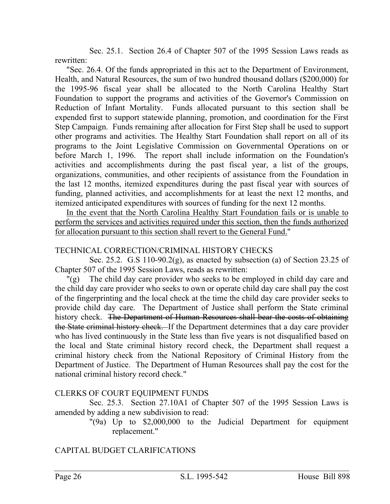Sec. 25.1. Section 26.4 of Chapter 507 of the 1995 Session Laws reads as rewritten:

"Sec. 26.4. Of the funds appropriated in this act to the Department of Environment, Health, and Natural Resources, the sum of two hundred thousand dollars (\$200,000) for the 1995-96 fiscal year shall be allocated to the North Carolina Healthy Start Foundation to support the programs and activities of the Governor's Commission on Reduction of Infant Mortality. Funds allocated pursuant to this section shall be expended first to support statewide planning, promotion, and coordination for the First Step Campaign. Funds remaining after allocation for First Step shall be used to support other programs and activities. The Healthy Start Foundation shall report on all of its programs to the Joint Legislative Commission on Governmental Operations on or before March 1, 1996. The report shall include information on the Foundation's activities and accomplishments during the past fiscal year, a list of the groups, organizations, communities, and other recipients of assistance from the Foundation in the last 12 months, itemized expenditures during the past fiscal year with sources of funding, planned activities, and accomplishments for at least the next 12 months, and itemized anticipated expenditures with sources of funding for the next 12 months.

In the event that the North Carolina Healthy Start Foundation fails or is unable to perform the services and activities required under this section, then the funds authorized for allocation pursuant to this section shall revert to the General Fund."

### TECHNICAL CORRECTION/CRIMINAL HISTORY CHECKS

Sec. 25.2. G.S 110-90.2(g), as enacted by subsection (a) of Section 23.25 of Chapter 507 of the 1995 Session Laws, reads as rewritten:

"(g) The child day care provider who seeks to be employed in child day care and the child day care provider who seeks to own or operate child day care shall pay the cost of the fingerprinting and the local check at the time the child day care provider seeks to provide child day care. The Department of Justice shall perform the State criminal history check. The Department of Human Resources shall bear the costs of obtaining the State criminal history check. If the Department determines that a day care provider who has lived continuously in the State less than five years is not disqualified based on the local and State criminal history record check, the Department shall request a criminal history check from the National Repository of Criminal History from the Department of Justice. The Department of Human Resources shall pay the cost for the national criminal history record check."

## CLERKS OF COURT EQUIPMENT FUNDS

Sec. 25.3. Section 27.10A1 of Chapter 507 of the 1995 Session Laws is amended by adding a new subdivision to read:

"(9a) Up to \$2,000,000 to the Judicial Department for equipment replacement."

# CAPITAL BUDGET CLARIFICATIONS